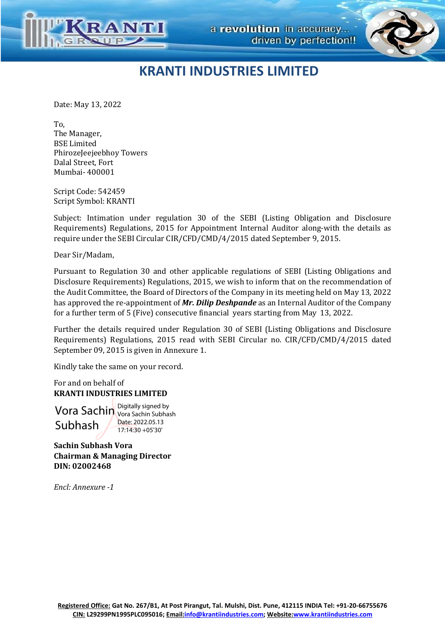



## **KRANTI INDUSTRIES LIMITED**

Date: May 13, 2022

To, The Manager, BSE Limited PhirozeJeejeebhoy Towers Dalal Street, Fort Mumbai- 400001

Script Code: 542459 Script Symbol: KRANTI

Subject: Intimation under regulation 30 of the SEBI (Listing Obligation and Disclosure Requirements) Regulations, 2015 for Appointment Internal Auditor along-with the details as require under the SEBI Circular CIR/CFD/CMD/4/2015 dated September 9, 2015.

Dear Sir/Madam,

Pursuant to Regulation 30 and other applicable regulations of SEBI (Listing Obligations and Disclosure Requirements) Regulations, 2015, we wish to inform that on the recommendation of the Audit Committee, the Board of Directors of the Company in its meeting held on May 13, 2022 has approved the re-appointment of *Mr. Dilip Deshpande* as an Internal Auditor of the Company for a further term of 5 (Five) consecutive financial years starting from May 13, 2022.

Further the details required under Regulation 30 of SEBI (Listing Obligations and Disclosure Requirements) Regulations, 2015 read with SEBI Circular no. CIR/CFD/CMD/4/2015 dated September 09, 2015 is given in Annexure 1.

Kindly take the same on your record.

For and on behalf of **KRANTI INDUSTRIES LIMITED** 

 Vora Sachin Vora Sachin Subhas Subhash Vora Sachin Subhash Date: 2022.05.13 17:14:30 +05'30'

**Sachin Subhash Vora Chairman & Managing Director DIN: 02002468**

*Encl: Annexure -1*